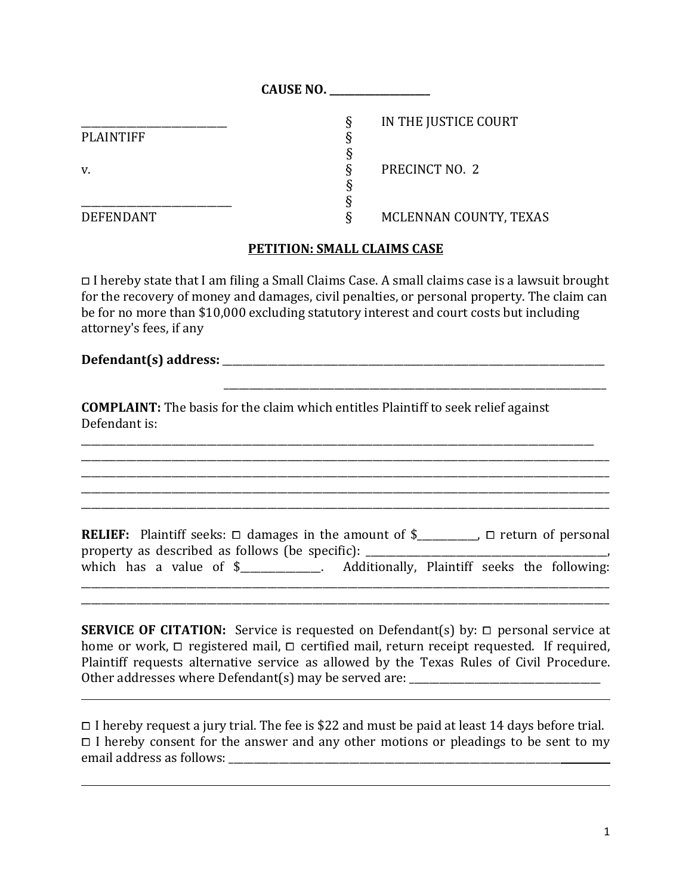|                  | <b>CAUSE NO.</b>          |  |
|------------------|---------------------------|--|
|                  | IN THE JUSTICE COURT<br>δ |  |
| <b>PLAINTIFF</b> |                           |  |
|                  |                           |  |
| v.               | PRECINCT NO. 2            |  |
|                  |                           |  |
|                  |                           |  |
| <b>DEFENDANT</b> | MCLENNAN COUNTY, TEXAS    |  |

## **PETITION: SMALL CLAIMS CASE**

□ I hereby state that I am ϐiling a Small Claims Case. A small claims case is a lawsuit brought for the recovery of money and damages, civil penalties, or personal property. The claim can be for no more than \$10,000 excluding statutory interest and court costs but including attorney's fees, if any

\_\_\_\_\_\_\_\_\_\_\_\_\_\_\_\_\_\_\_\_\_\_\_\_\_\_\_\_\_\_\_\_\_\_\_\_\_\_\_\_\_\_\_\_\_\_\_\_\_\_\_\_\_\_\_\_\_\_\_\_\_\_\_\_\_\_\_\_\_\_\_\_\_\_\_\_

## **Defendant(s) address:** \_\_\_\_\_\_\_\_\_\_\_\_\_\_\_\_\_\_\_\_\_\_\_\_\_\_\_\_\_\_\_\_\_\_\_\_\_\_\_\_\_\_\_\_\_\_\_\_\_\_\_\_\_\_\_\_\_\_\_\_\_\_\_\_\_\_\_\_\_\_\_\_\_\_\_\_

 $\overline{a}$ 

 $\overline{a}$ 

**COMPLAINT:** The basis for the claim which entitles Plaintiff to seek relief against Defendant is:

\_\_\_\_\_\_\_\_\_\_\_\_\_\_\_\_\_\_\_\_\_\_\_\_\_\_\_\_\_\_\_\_\_\_\_\_\_\_\_\_\_\_\_\_\_\_\_\_\_\_\_\_\_\_\_\_\_\_\_\_\_\_\_\_\_\_\_\_\_\_\_\_\_\_\_\_\_\_\_\_\_\_\_\_\_\_\_\_\_\_\_\_\_\_\_\_\_\_\_\_\_\_ \_\_\_\_\_\_\_\_\_\_\_\_\_\_\_\_\_\_\_\_\_\_\_\_\_\_\_\_\_\_\_\_\_\_\_\_\_\_\_\_\_\_\_\_\_\_\_\_\_\_\_\_\_\_\_\_\_\_\_\_\_\_\_\_\_\_\_\_\_\_\_\_\_\_\_\_\_\_\_\_\_\_\_\_\_\_\_\_\_\_\_\_\_\_\_\_\_\_\_\_\_\_\_\_\_ \_\_\_\_\_\_\_\_\_\_\_\_\_\_\_\_\_\_\_\_\_\_\_\_\_\_\_\_\_\_\_\_\_\_\_\_\_\_\_\_\_\_\_\_\_\_\_\_\_\_\_\_\_\_\_\_\_\_\_\_\_\_\_\_\_\_\_\_\_\_\_\_\_\_\_\_\_\_\_\_\_\_\_\_\_\_\_\_\_\_\_\_\_\_\_\_\_\_\_\_\_\_\_\_\_ \_\_\_\_\_\_\_\_\_\_\_\_\_\_\_\_\_\_\_\_\_\_\_\_\_\_\_\_\_\_\_\_\_\_\_\_\_\_\_\_\_\_\_\_\_\_\_\_\_\_\_\_\_\_\_\_\_\_\_\_\_\_\_\_\_\_\_\_\_\_\_\_\_\_\_\_\_\_\_\_\_\_\_\_\_\_\_\_\_\_\_\_\_\_\_\_\_\_\_\_\_\_\_\_\_

|  |                                                 | <b>RELIEF:</b> Plaintiff seeks: $\Box$ damages in the amount of $\$ |  | $\Box$ return of personal |
|--|-------------------------------------------------|---------------------------------------------------------------------|--|---------------------------|
|  | property as described as follows (be specific): |                                                                     |  |                           |
|  | which has a value of $\frac{1}{2}$ .            | Additionally, Plaintiff seeks the following:                        |  |                           |
|  |                                                 |                                                                     |  |                           |

\_\_\_\_\_\_\_\_\_\_\_\_\_\_\_\_\_\_\_\_\_\_\_\_\_\_\_\_\_\_\_\_\_\_\_\_\_\_\_\_\_\_\_\_\_\_\_\_\_\_\_\_\_\_\_\_\_\_\_\_\_\_\_\_\_\_\_\_\_\_\_\_\_\_\_\_\_\_\_\_\_\_\_\_\_\_\_\_\_\_\_\_\_\_\_\_\_\_\_\_\_\_\_\_\_

**SERVICE OF CITATION:** Service is requested on Defendant(s) by: □ personal service at Plaintiff requests alternative service as allowed by the Texas Rules of Civil Procedure. home or work,  $\Box$  registered mail,  $\Box$  certified mail, return receipt requested. If required, Other addresses where Defendant(s) may be served are:

⧠ I hereby request a jury trial. The fee is \$22 and must be paid at least 14 days before trial.  $\Box$  I hereby consent for the answer and any other motions or pleadings to be sent to my email address as follows: \_\_\_\_\_\_\_\_\_\_\_\_\_\_\_\_\_\_\_\_\_\_\_\_\_\_\_\_\_\_\_\_\_\_\_\_\_\_\_\_\_\_\_\_\_\_\_\_\_\_\_\_\_\_\_\_\_\_\_\_\_\_\_\_\_\_